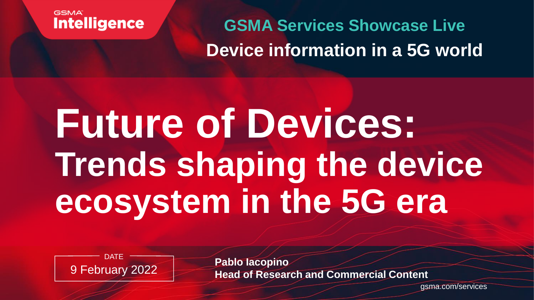

**GSMA Services Showcase Live Device information in a 5G world**

# **Future of Devices: Trends shaping the device ecosystem in the 5G era**



**Pablo Iacopino Head of Research and Commercial Content** 

gsma.com/services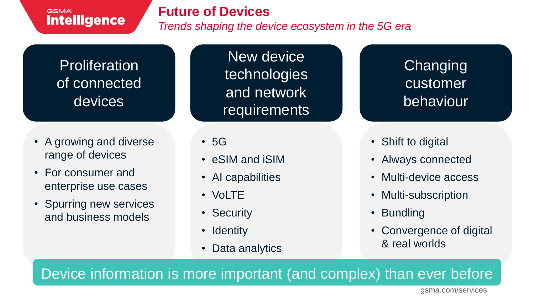### **Future of Devices**

*Trends shaping the device ecosystem in the 5G era*

### **Proliferation** of connected devices

- A growing and diverse range of devices
- For consumer and enterprise use cases
- Spurring new services and business models

New device technologies and network requirements

• 5G

- eSIM and iSIM
- AI capabilities
- VoLTE
- Security
- Identity
- Data analytics

**Changing** customer behaviour

- Shift to digital
- Always connected
- Multi-device access
- Multi-subscription
- Bundling
- Convergence of digital & real worlds

Device information is more important (and complex) than ever before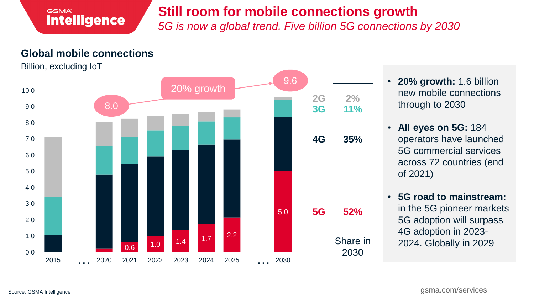### **Still room for mobile connections growth**

*5G is now a global trend. Five billion 5G connections by 2030* 

### **Global mobile connections**

Billion, excluding IoT



- **20% growth:** 1.6 billion new mobile connections through to 2030
- **All eyes on 5G:** 184 operators have launched 5G commercial services across 72 countries (end of 2021)
- **5G road to mainstream:**  in the 5G pioneer markets 5G adoption will surpass 4G adoption in 2023- 2024. Globally in 2029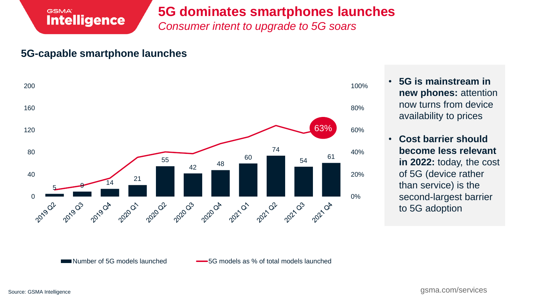### **5G dominates smartphones launches**

*Consumer intent to upgrade to 5G soars*

### **5G-capable smartphone launches**

**Intelligence** 

**GSMA** 



- **5G is mainstream in new phones:** attention now turns from device availability to prices
- **Cost barrier should become less relevant in 2022:** today, the cost of 5G (device rather than service) is the second-largest barrier to 5G adoption

Source: GSMA Intelligence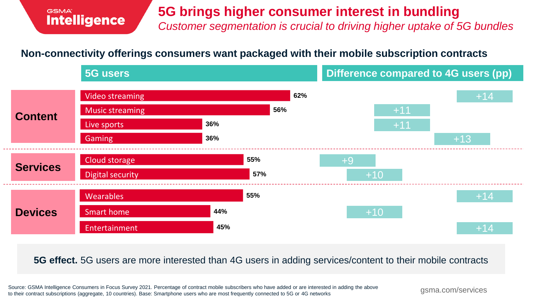### **5G brings higher consumer interest in bundling**

*Customer segmentation is crucial to driving higher uptake of 5G bundles*

### **Non-connectivity offerings consumers want packaged with their mobile subscription contracts**



### **5G effect.** 5G users are more interested than 4G users in adding services/content to their mobile contracts

Source: GSMA Intelligence Consumers in Focus Survey 2021. Percentage of contract mobile subscribers who have added or are interested in adding the above to their contract subscriptions (aggregate, 10 countries). Base: Smartphone users who are most frequently connected to 5G or 4G networks

gsma.com/services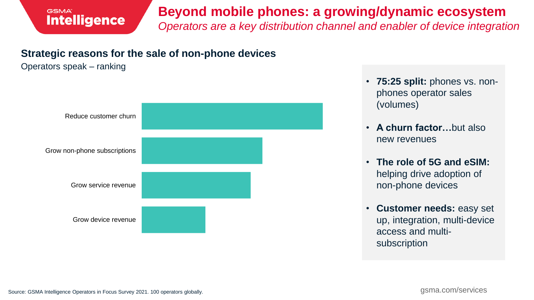### **Beyond mobile phones: a growing/dynamic ecosystem**  *Operators are a key distribution channel and enabler of device integration*

### **Strategic reasons for the sale of non-phone devices**

#### Operators speak – ranking



- **75:25 split:** phones vs. nonphones operator sales (volumes)
- **A churn factor…**but also new revenues
- **The role of 5G and eSIM:**  helping drive adoption of non-phone devices
- **Customer needs:** easy set up, integration, multi-device access and multisubscription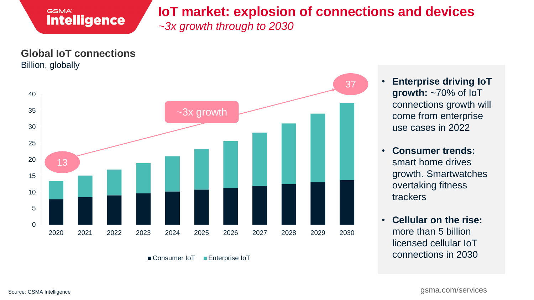

### **IoT market: explosion of connections and devices**

*~3x growth through to 2030*



■ Consumer IoT ■ Enterprise IoT

• **Enterprise driving IoT growth:** ~70% of IoT connections growth will come from enterprise use cases in 2022

- **Consumer trends:** smart home drives growth. Smartwatches overtaking fitness trackers
- **Cellular on the rise:** more than 5 billion licensed cellular IoT connections in 2030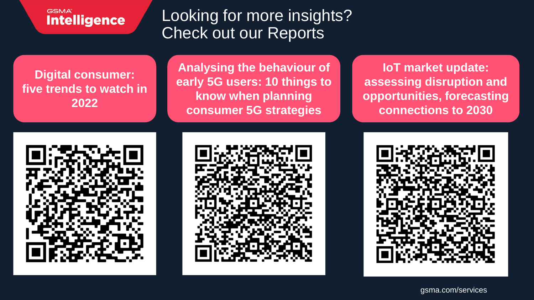Looking for more insights? Check out our Reports

**Digital consumer: five trends to watch in 2022**

**Analysing the behaviour of early 5G users: 10 things to know when planning consumer 5G strategies**

**IoT market update: assessing disruption and opportunities, forecasting connections to 2030**





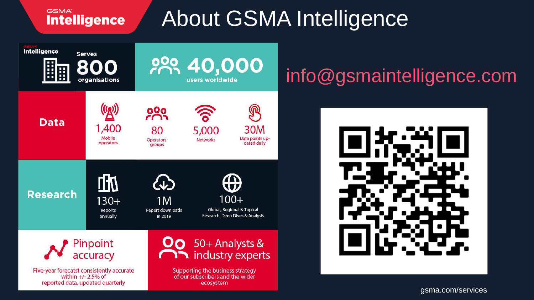# About GSMA Intelligence



## info@gsmaintelligence.com